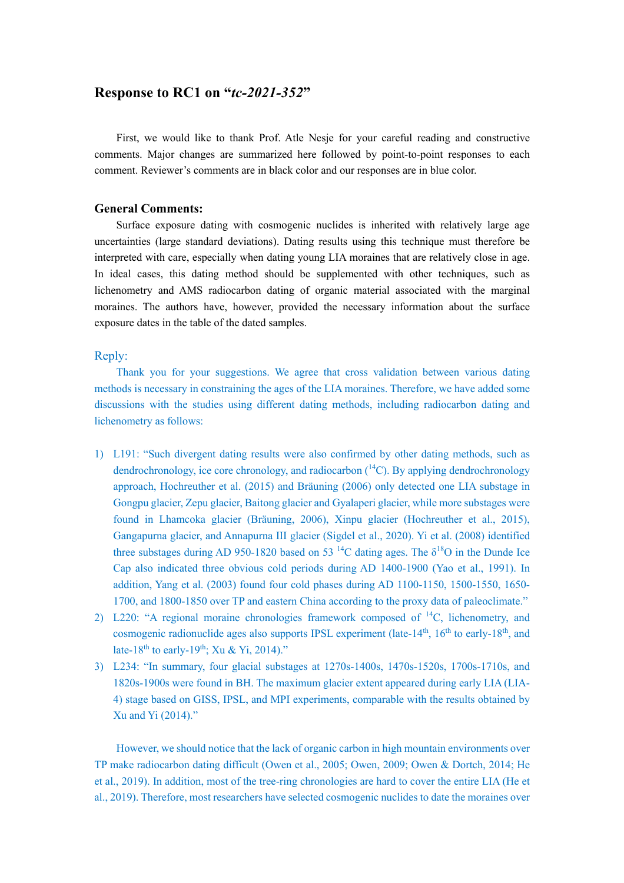# **Response to RC1 on "***tc-2021-352***"**

First, we would like to thank Prof. Atle Nesje for your careful reading and constructive comments. Major changes are summarized here followed by point-to-point responses to each comment. Reviewer's comments are in black color and our responses are in blue color.

#### **General Comments:**

Surface exposure dating with cosmogenic nuclides is inherited with relatively large age uncertainties (large standard deviations). Dating results using this technique must therefore be interpreted with care, especially when dating young LIA moraines that are relatively close in age. In ideal cases, this dating method should be supplemented with other techniques, such as lichenometry and AMS radiocarbon dating of organic material associated with the marginal moraines. The authors have, however, provided the necessary information about the surface exposure dates in the table of the dated samples.

### Reply:

Thank you for your suggestions. We agree that cross validation between various dating methods is necessary in constraining the ages of the LIA moraines. Therefore, we have added some discussions with the studies using different dating methods, including radiocarbon dating and lichenometry as follows:

- 1) L191: "Such divergent dating results were also confirmed by other dating methods, such as dendrochronology, ice core chronology, and radiocarbon  $(14)$ . By applying dendrochronology approach, Hochreuther et al. (2015) and Bräuning (2006) only detected one LIA substage in Gongpu glacier, Zepu glacier, Baitong glacier and Gyalaperi glacier, while more substages were found in Lhamcoka glacier (Bräuning, 2006), Xinpu glacier (Hochreuther et al., 2015), Gangapurna glacier, and Annapurna III glacier (Sigdel et al., 2020). Yi et al. (2008) identified three substages during AD 950-1820 based on 53<sup>14</sup>C dating ages. The  $\delta^{18}$ O in the Dunde Ice Cap also indicated three obvious cold periods during AD 1400-1900 (Yao et al., 1991). In addition, Yang et al. (2003) found four cold phases during AD 1100-1150, 1500-1550, 1650- 1700, and 1800-1850 over TP and eastern China according to the proxy data of paleoclimate."
- 2) L220: "A regional moraine chronologies framework composed of 14C, lichenometry, and cosmogenic radionuclide ages also supports IPSL experiment (late-14<sup>th</sup>, 16<sup>th</sup> to early-18<sup>th</sup>, and late-18<sup>th</sup> to early-19<sup>th</sup>; Xu & Yi, 2014)."
- 3) L234: "In summary, four glacial substages at 1270s-1400s, 1470s-1520s, 1700s-1710s, and 1820s-1900s were found in BH. The maximum glacier extent appeared during early LIA (LIA-4) stage based on GISS, IPSL, and MPI experiments, comparable with the results obtained by Xu and Yi (2014)."

However, we should notice that the lack of organic carbon in high mountain environments over TP make radiocarbon dating difficult (Owen et al., 2005; Owen, 2009; Owen & Dortch, 2014; He et al., 2019). In addition, most of the tree-ring chronologies are hard to cover the entire LIA (He et al., 2019). Therefore, most researchers have selected cosmogenic nuclides to date the moraines over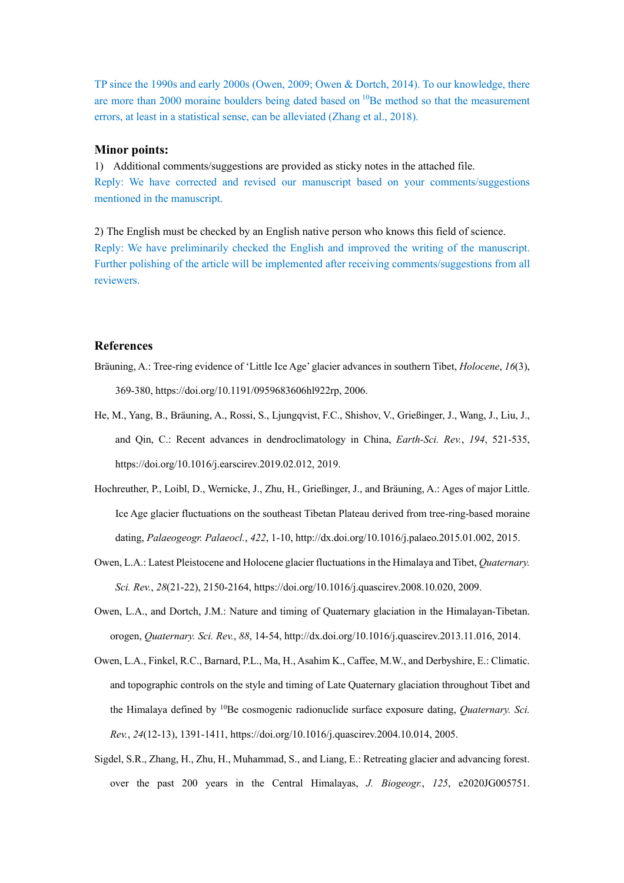TP since the 1990s and early 2000s (Owen, 2009; Owen & Dortch, 2014). To our knowledge, there are more than 2000 moraine boulders being dated based on <sup>10</sup>Be method so that the measurement errors, at least in a statistical sense, can be alleviated (Zhang et al., 2018).

#### **Minor points:**

1) Additional comments/suggestions are provided as sticky notes in the attached file. Reply: We have corrected and revised our manuscript based on your comments/suggestions mentioned in the manuscript.

2) The English must be checked by an English native person who knows this field of science. Reply: We have preliminarily checked the English and improved the writing of the manuscript. Further polishing of the article will be implemented after receiving comments/suggestions from all reviewers.

## **References**

- Bräuning, A.: Tree-ring evidence of 'Little Ice Age' glacier advances in southern Tibet, *Holocene*, *16*(3), 369-380, https://doi.org/10.1191/0959683606hl922rp, 2006.
- He, M., Yang, B., Bräuning, A., Rossi, S., Ljungqvist, F.C., Shishov, V., Grießinger, J., Wang, J., Liu, J., and Qin, C.: Recent advances in dendroclimatology in China, *Earth-Sci. Rev.*, *194*, 521-535, https://doi.org/10.1016/j.earscirev.2019.02.012, 2019.
- Hochreuther, P., Loibl, D., Wernicke, J., Zhu, H., Grießinger, J., and Bräuning, A.: Ages of major Little. Ice Age glacier fluctuations on the southeast Tibetan Plateau derived from tree-ring-based moraine dating, *Palaeogeogr. Palaeocl.*, *422*, 1-10, http://dx.doi.org/10.1016/j.palaeo.2015.01.002, 2015.
- Owen, L.A.: Latest Pleistocene and Holocene glacier fluctuations in the Himalaya and Tibet, *Quaternary. Sci. Rev.*, *28*(21-22), 2150-2164, https://doi.org/10.1016/j.quascirev.2008.10.020, 2009.
- Owen, L.A., and Dortch, J.M.: Nature and timing of Quaternary glaciation in the Himalayan-Tibetan. orogen, *Quaternary. Sci. Rev.*, *88*, 14-54, http://dx.doi.org/10.1016/j.quascirev.2013.11.016, 2014.
- Owen, L.A., Finkel, R.C., Barnard, P.L., Ma, H., Asahim K., Caffee, M.W., and Derbyshire, E.: Climatic. and topographic controls on the style and timing of Late Quaternary glaciation throughout Tibet and the Himalaya defined by <sup>10</sup>Be cosmogenic radionuclide surface exposure dating, *Quaternary, Sci. Rev.*, *24*(12-13), 1391-1411, https://doi.org/10.1016/j.quascirev.2004.10.014, 2005.
- Sigdel, S.R., Zhang, H., Zhu, H., Muhammad, S., and Liang, E.: Retreating glacier and advancing forest. over the past 200 years in the Central Himalayas, *J. Biogeogr.*, *125*, e2020JG005751.